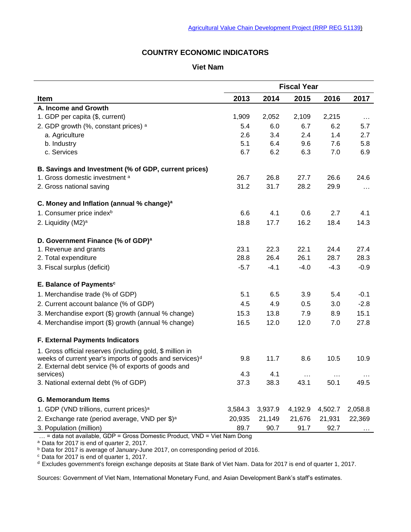# **COUNTRY ECONOMIC INDICATORS**

#### **Viet Nam**

|                                                                     | <b>Fiscal Year</b> |         |          |          |          |
|---------------------------------------------------------------------|--------------------|---------|----------|----------|----------|
| Item                                                                | 2013               | 2014    | 2015     | 2016     | 2017     |
| A. Income and Growth                                                |                    |         |          |          |          |
| 1. GDP per capita (\$, current)                                     | 1,909              | 2,052   | 2,109    | 2,215    | $\cdots$ |
| 2. GDP growth (%, constant prices) a                                | 5.4                | 6.0     | 6.7      | 6.2      | 5.7      |
| a. Agriculture                                                      | 2.6                | 3.4     | 2.4      | 1.4      | 2.7      |
| b. Industry                                                         | 5.1                | 6.4     | 9.6      | 7.6      | 5.8      |
| c. Services                                                         | 6.7                | 6.2     | 6.3      | 7.0      | 6.9      |
| B. Savings and Investment (% of GDP, current prices)                |                    |         |          |          |          |
| 1. Gross domestic investment a                                      | 26.7               | 26.8    | 27.7     | 26.6     | 24.6     |
| 2. Gross national saving                                            | 31.2               | 31.7    | 28.2     | 29.9     | $\cdots$ |
| C. Money and Inflation (annual % change) <sup>a</sup>               |                    |         |          |          |          |
| 1. Consumer price index <sup>b</sup>                                | 6.6                | 4.1     | 0.6      | 2.7      | 4.1      |
| 2. Liquidity (M2) <sup>a</sup>                                      | 18.8               | 17.7    | 16.2     | 18.4     | 14.3     |
| D. Government Finance (% of GDP) <sup>a</sup>                       |                    |         |          |          |          |
| 1. Revenue and grants                                               | 23.1               | 22.3    | 22.1     | 24.4     | 27.4     |
| 2. Total expenditure                                                | 28.8               | 26.4    | 26.1     | 28.7     | 28.3     |
| 3. Fiscal surplus (deficit)                                         | $-5.7$             | $-4.1$  | $-4.0$   | $-4.3$   | $-0.9$   |
| E. Balance of Payments <sup>c</sup>                                 |                    |         |          |          |          |
| 1. Merchandise trade (% of GDP)                                     | 5.1                | 6.5     | 3.9      | 5.4      | $-0.1$   |
| 2. Current account balance (% of GDP)                               | 4.5                | 4.9     | 0.5      | 3.0      | $-2.8$   |
| 3. Merchandise export (\$) growth (annual % change)                 | 15.3               | 13.8    | 7.9      | 8.9      | 15.1     |
| 4. Merchandise import (\$) growth (annual % change)                 | 16.5               | 12.0    | 12.0     | 7.0      | 27.8     |
| <b>F. External Payments Indicators</b>                              |                    |         |          |          |          |
| 1. Gross official reserves (including gold, \$ million in           |                    |         |          |          |          |
| weeks of current year's imports of goods and services) <sup>d</sup> | 9.8                | 11.7    | 8.6      | 10.5     | 10.9     |
| 2. External debt service (% of exports of goods and                 |                    |         |          |          |          |
| services)                                                           | 4.3                | 4.1     | $\cdots$ | $\cdots$ |          |
| 3. National external debt (% of GDP)                                | 37.3               | 38.3    | 43.1     | 50.1     | 49.5     |
| <b>G. Memorandum Items</b>                                          |                    |         |          |          |          |
| 1. GDP (VND trillions, current prices) <sup>a</sup>                 | 3,584.3            | 3,937.9 | 4,192.9  | 4,502.7  | 2,058.8  |
| 2. Exchange rate (period average, VND per \$) <sup>a</sup>          | 20,935             | 21,149  | 21,676   | 21,931   | 22,369   |
| 3. Population (million)                                             | 89.7               | 90.7    | 91.7     | 92.7     |          |

… = data not available, GDP = Gross Domestic Product, VND = Viet Nam Dong

<sup>a</sup> Data for 2017 is end of quarter 2, 2017.

<sup>b</sup> Data for 2017 is average of January-June 2017, on corresponding period of 2016.

 $\degree$  Data for 2017 is end of quarter 1, 2017.

<sup>d</sup> Excludes government's foreign exchange deposits at State Bank of Viet Nam. Data for 2017 is end of quarter 1, 2017.

Sources: Government of Viet Nam, International Monetary Fund, and Asian Development Bank's staff's estimates.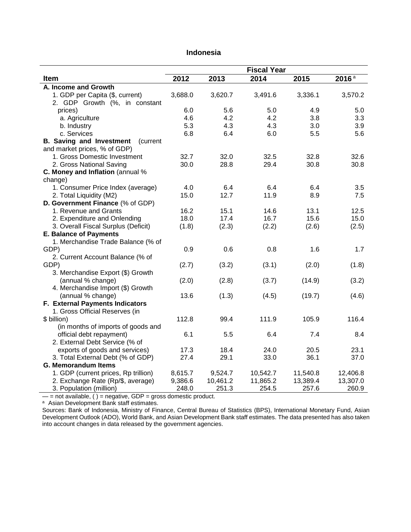|                                             | <b>Fiscal Year</b> |          |          |          |          |  |
|---------------------------------------------|--------------------|----------|----------|----------|----------|--|
| Item                                        | 2012               | 2013     | 2014     | 2015     | 2016a    |  |
| A. Income and Growth                        |                    |          |          |          |          |  |
| 1. GDP per Capita (\$, current)             | 3,688.0            | 3,620.7  | 3,491.6  | 3,336.1  | 3,570.2  |  |
| 2. GDP Growth (%, in constant               |                    |          |          |          |          |  |
| prices)                                     | 6.0                | 5.6      | 5.0      | 4.9      | 5.0      |  |
| a. Agriculture                              | 4.6                | 4.2      | 4.2      | 3.8      | 3.3      |  |
| b. Industry                                 | 5.3                | 4.3      | 4.3      | 3.0      | 3.9      |  |
| c. Services                                 | 6.8                | 6.4      | 6.0      | 5.5      | 5.6      |  |
| <b>B. Saving and Investment</b><br>(current |                    |          |          |          |          |  |
| and market prices, % of GDP)                |                    |          |          |          |          |  |
| 1. Gross Domestic Investment                | 32.7               | 32.0     | 32.5     | 32.8     | 32.6     |  |
| 2. Gross National Saving                    | 30.0               | 28.8     | 29.4     | 30.8     | 30.8     |  |
| C. Money and Inflation (annual %            |                    |          |          |          |          |  |
| change)                                     |                    |          |          |          |          |  |
| 1. Consumer Price Index (average)           | 4.0                | 6.4      | 6.4      | 6.4      | 3.5      |  |
| 2. Total Liquidity (M2)                     | 15.0               | 12.7     | 11.9     | 8.9      | 7.5      |  |
| D. Government Finance (% of GDP)            |                    |          |          |          |          |  |
| 1. Revenue and Grants                       | 16.2               | 15.1     | 14.6     | 13.1     | 12.5     |  |
| 2. Expenditure and Onlending                | 18.0               | 17.4     | 16.7     | 15.6     | 15.0     |  |
| 3. Overall Fiscal Surplus (Deficit)         | (1.8)              | (2.3)    | (2.2)    | (2.6)    | (2.5)    |  |
| <b>E. Balance of Payments</b>               |                    |          |          |          |          |  |
| 1. Merchandise Trade Balance (% of          |                    |          |          |          |          |  |
| GDP)                                        | 0.9                | 0.6      | 0.8      | 1.6      | 1.7      |  |
| 2. Current Account Balance (% of            |                    |          |          |          |          |  |
| GDP)                                        | (2.7)              | (3.2)    | (3.1)    | (2.0)    | (1.8)    |  |
| 3. Merchandise Export (\$) Growth           |                    |          |          |          |          |  |
| (annual % change)                           | (2.0)              | (2.8)    | (3.7)    | (14.9)   | (3.2)    |  |
| 4. Merchandise Import (\$) Growth           |                    |          |          |          |          |  |
| (annual % change)                           | 13.6               | (1.3)    | (4.5)    | (19.7)   | (4.6)    |  |
| F. External Payments Indicators             |                    |          |          |          |          |  |
| 1. Gross Official Reserves (in              |                    |          |          |          |          |  |
| \$ billion)                                 | 112.8              | 99.4     | 111.9    | 105.9    | 116.4    |  |
| (in months of imports of goods and          |                    |          |          |          |          |  |
| official debt repayment)                    | 6.1                | 5.5      | 6.4      | 7.4      | 8.4      |  |
| 2. External Debt Service (% of              |                    |          |          |          |          |  |
| exports of goods and services)              | 17.3               | 18.4     | 24.0     | 20.5     | 23.1     |  |
| 3. Total External Debt (% of GDP)           | 27.4               | 29.1     | 33.0     | 36.1     | 37.0     |  |
| <b>G. Memorandum Items</b>                  |                    |          |          |          |          |  |
| 1. GDP (current prices, Rp trillion)        | 8,615.7            | 9,524.7  | 10,542.7 | 11,540.8 | 12,406.8 |  |
| 2. Exchange Rate (Rp/\$, average)           | 9,386.6            | 10,461.2 | 11,865.2 | 13,389.4 | 13,307.0 |  |
| 3. Population (million)                     | 248.0              | 251.3    | 254.5    | 257.6    | 260.9    |  |

## **Indonesia**

 $-$  = not available, ( ) = negative, GDP = gross domestic product.

a Asian Development Bank staff estimates.

Sources: Bank of Indonesia, Ministry of Finance, Central Bureau of Statistics (BPS), International Monetary Fund, Asian Development Outlook (ADO), World Bank, and Asian Development Bank staff estimates. The data presented has also taken into account changes in data released by the government agencies.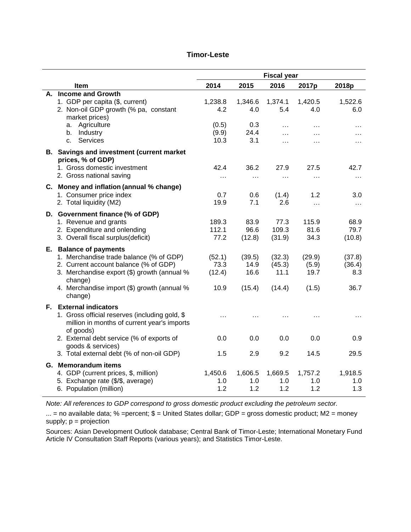|                                                                                                                                                                                                                                                            | <b>Fiscal year</b>                       |                                      |                                                           |                                                    |                                      |
|------------------------------------------------------------------------------------------------------------------------------------------------------------------------------------------------------------------------------------------------------------|------------------------------------------|--------------------------------------|-----------------------------------------------------------|----------------------------------------------------|--------------------------------------|
| <b>Item</b>                                                                                                                                                                                                                                                | 2014                                     | 2015                                 | 2016                                                      | 2017p                                              | 2018p                                |
| A. Income and Growth<br>1. GDP per capita (\$, current)<br>2. Non-oil GDP growth (% pa, constant<br>market prices)<br>Agriculture<br>a.<br>Industry<br>b.<br>Services<br>c.                                                                                | 1,238.8<br>4.2<br>(0.5)<br>(9.9)<br>10.3 | 1,346.6<br>4.0<br>0.3<br>24.4<br>3.1 | 1,374.1<br>5.4<br>$\cdot$ $\cdot$<br>$\cdots$<br>$\cdots$ | 1,420.5<br>4.0<br>$\cdots$<br>$\cdots$<br>$\cdots$ | 1,522.6<br>6.0<br>$\cdots$<br>.<br>. |
| <b>B.</b> Savings and investment (current market<br>prices, % of GDP)<br>1. Gross domestic investment<br>2. Gross national saving                                                                                                                          | 42.4<br>$\cdots$                         | 36.2<br>$\cdots$                     | 27.9<br>$\cdots$                                          | 27.5<br>$\cdots$                                   | 42.7<br>$\cdots$                     |
| C. Money and inflation (annual % change)<br>1. Consumer price index<br>2. Total liquidity (M2)                                                                                                                                                             | 0.7<br>19.9                              | 0.6<br>7.1                           | (1.4)<br>2.6                                              | 1.2<br>$\ddotsc$                                   | 3.0<br>$\cdots$                      |
| D. Government finance (% of GDP)<br>1. Revenue and grants<br>2. Expenditure and onlending<br>3. Overall fiscal surplus(deficit)                                                                                                                            | 189.3<br>112.1<br>77.2                   | 83.9<br>96.6<br>(12.8)               | 77.3<br>109.3<br>(31.9)                                   | 115.9<br>81.6<br>34.3                              | 68.9<br>79.7<br>(10.8)               |
| E. Balance of payments<br>1. Merchandise trade balance (% of GDP)<br>2. Current account balance (% of GDP)<br>3. Merchandise export (\$) growth (annual %<br>change)<br>4. Merchandise import (\$) growth (annual %<br>change)                             | (52.1)<br>73.3<br>(12.4)<br>10.9         | (39.5)<br>14.9<br>16.6<br>(15.4)     | (32.3)<br>(45.3)<br>11.1<br>(14.4)                        | (29.9)<br>(5.9)<br>19.7<br>(1.5)                   | (37.8)<br>(36.4)<br>8.3<br>36.7      |
| <b>F.</b> External indicators<br>1. Gross official reserves (including gold, \$<br>million in months of current year's imports<br>of goods)<br>2. External debt service (% of exports of<br>goods & services)<br>3. Total external debt (% of non-oil GDP) | $\cdots$<br>0.0<br>1.5                   | 0.0<br>2.9                           | 0.0<br>9.2                                                | 0.0<br>14.5                                        | 0.9<br>29.5                          |
| G. Memorandum items<br>4. GDP (current prices, \$, million)<br>5. Exchange rate (\$/\$, average)<br>6. Population (million)                                                                                                                                | 1,450.6<br>1.0<br>1.2                    | 1,606.5<br>1.0<br>1.2                | 1,669.5<br>1.0<br>1.2                                     | 1,757.2<br>1.0<br>1.2                              | 1,918.5<br>1.0<br>1.3                |

#### **Timor-Leste**

*Note: All references to GDP correspond to gross domestic product excluding the petroleum sector.*

... = no available data;  $%$  =percent;  $$$  = United States dollar; GDP = gross domestic product; M2 = money supply; p = projection

Sources: Asian Development Outlook database; Central Bank of Timor-Leste; International Monetary Fund Article IV Consultation Staff Reports (various years); and Statistics Timor-Leste.